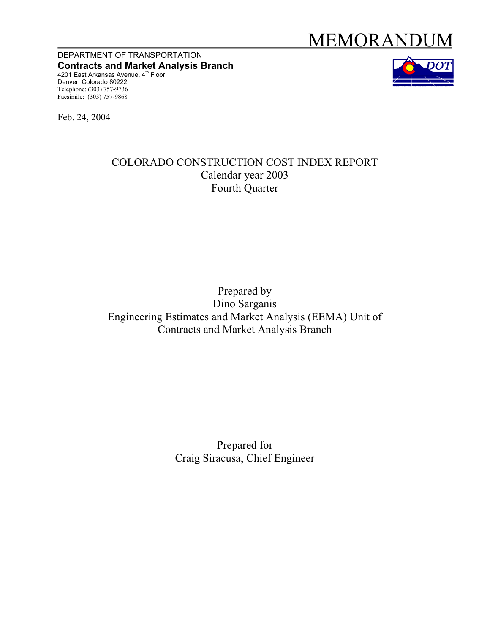# MEMORANDUM

DEPARTMENT OF TRANSPORTATION **Contracts and Market Analysis Branch**  4201 East Arkansas Avenue, 4<sup>th</sup> Floor Denver, Colorado 80222 Telephone: (303) 757-9736 Facsimile: (303) 757-9868



Feb. 24, 2004

## COLORADO CONSTRUCTION COST INDEX REPORT Calendar year 2003 Fourth Quarter

## Prepared by Dino Sarganis Engineering Estimates and Market Analysis (EEMA) Unit of Contracts and Market Analysis Branch

Prepared for Craig Siracusa, Chief Engineer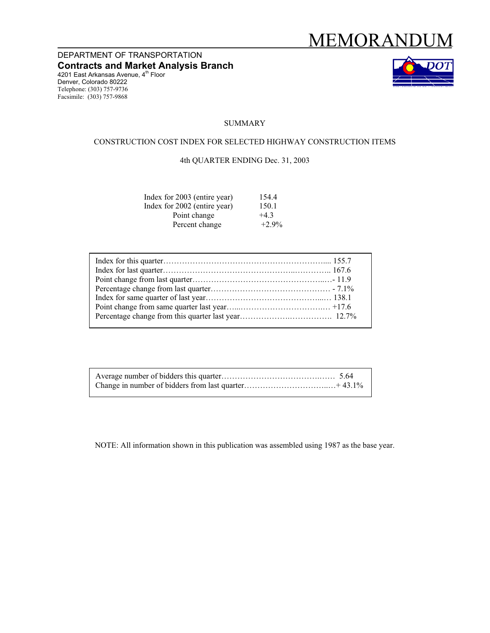## MEMORANDUM

DEPARTMENT OF TRANSPORTATION **Contracts and Market Analysis Branch**  4201 East Arkansas Avenue, 4<sup>th</sup> Floor Denver, Colorado 80222 Telephone: (303) 757-9736 Facsimile: (303) 757-9868



#### **SUMMARY**

#### CONSTRUCTION COST INDEX FOR SELECTED HIGHWAY CONSTRUCTION ITEMS

#### 4th QUARTER ENDING Dec. 31, 2003

| Index for 2003 (entire year) | 154.4    |
|------------------------------|----------|
| Index for 2002 (entire year) | 150.1    |
| Point change                 | $+4.3$   |
| Percent change               | $+2.9\%$ |

NOTE: All information shown in this publication was assembled using 1987 as the base year.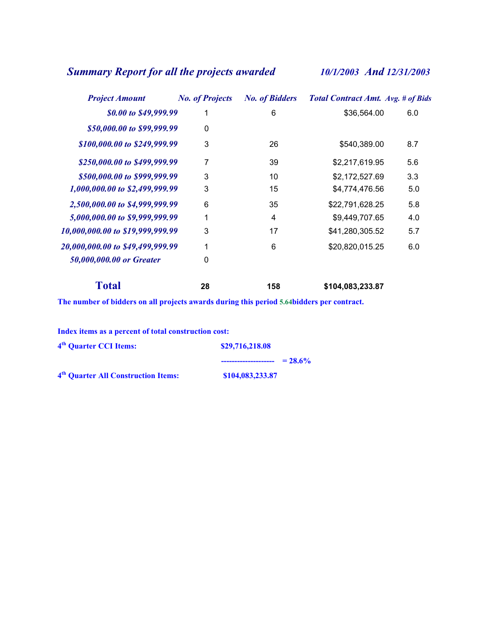## *Summary Report for all the projects awarded 10/1/2003 And 12/31/2003*

| <b>Project Amount</b>            | <b>No. of Projects</b> | <b>No. of Bidders</b> | <b>Total Contract Amt. Avg. # of Bids</b> |     |
|----------------------------------|------------------------|-----------------------|-------------------------------------------|-----|
| \$0.00 to \$49,999.99            |                        | 6                     | \$36,564.00                               | 6.0 |
| \$50,000.00 to \$99,999.99       | 0                      |                       |                                           |     |
| \$100,000.00 to \$249,999.99     | 3                      | 26                    | \$540,389.00                              | 8.7 |
| \$250,000.00 to \$499,999.99     | 7                      | 39                    | \$2,217,619.95                            | 5.6 |
| \$500,000.00 to \$999,999.99     | 3                      | 10                    | \$2,172,527.69                            | 3.3 |
| 1,000,000.00 to \$2,499,999.99   | 3                      | 15                    | \$4,774,476.56                            | 5.0 |
| 2,500,000.00 to \$4,999,999.99   | 6                      | 35                    | \$22,791,628.25                           | 5.8 |
| 5,000,000.00 to \$9,999,999.99   | 1                      | 4                     | \$9,449,707.65                            | 4.0 |
| 10,000,000.00 to \$19,999,999.99 | 3                      | 17                    | \$41,280,305.52                           | 5.7 |
| 20,000,000.00 to \$49,499,999.99 | 1                      | 6                     | \$20,820,015.25                           | 6.0 |
| 50,000,000.00 or Greater         | 0                      |                       |                                           |     |
| <b>Total</b>                     | 28                     | 158                   | \$104,083,233.87                          |     |

**The number of bidders on all projects awards during this period 5.64bidders per contract.** 

| Index items as a percent of total construction cost: |                  |
|------------------------------------------------------|------------------|
| 4 <sup>th</sup> Quarter CCI Items:                   | \$29,716,218.08  |
|                                                      | $= 28.6\%$       |
| 4 <sup>th</sup> Quarter All Construction Items:      | \$104,083,233.87 |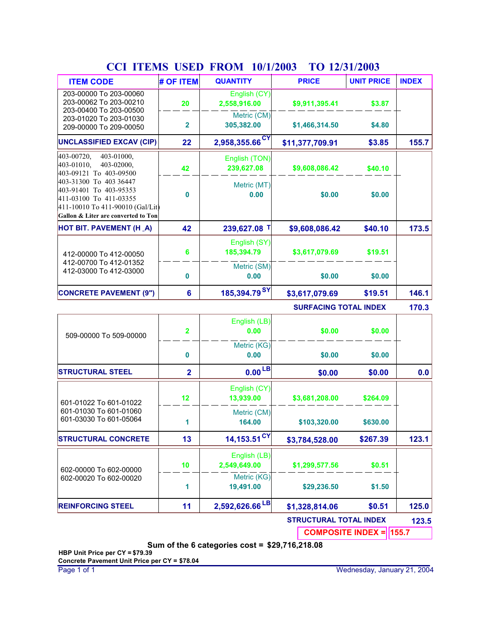| <b>CULTILIANIS</b>                                                                                                                                    | <b>UDLD</b>             | T INVIVI                     | 10/1/Z00J                     | <b>IV 14/31/4003</b> |              |
|-------------------------------------------------------------------------------------------------------------------------------------------------------|-------------------------|------------------------------|-------------------------------|----------------------|--------------|
| <b>ITEM CODE</b>                                                                                                                                      | # OF ITEM               | <b>QUANTITY</b>              | <b>PRICE</b>                  | <b>UNIT PRICE</b>    | <b>INDEX</b> |
| 203-00000 To 203-00060<br>203-00062 To 203-00210<br>203-00400 To 203-00500                                                                            | 20                      | English (CY)<br>2,558,916.00 | \$9,911,395.41                | \$3.87               |              |
| 203-01020 To 203-01030<br>209-00000 To 209-00050                                                                                                      | $\overline{\mathbf{2}}$ | Metric (CM)<br>305,382.00    | \$1,466,314.50                | \$4.80               |              |
| <b>UNCLASSIFIED EXCAV (CIP)</b>                                                                                                                       | 22                      | $2,958,355.66$ <sup>CY</sup> | \$11,377,709.91               | \$3.85               | 155.7        |
| 403-01000,<br>403-00720,<br>403-01010,<br>403-02000,<br>403-09121 To 403-09500                                                                        | 42                      | English (TON)<br>239,627.08  | \$9,608,086.42                | \$40.10              |              |
| 403-31300 To 403 36447<br>403-91401 To 403-95353<br>411-03100 To 411-03355<br>411-10010 To 411-90010 (Gal/Lit)<br>Gallon & Liter are converted to Ton | 0                       | Metric (MT)<br>0.00          | \$0.00                        | \$0.00               |              |
| <b>HOT BIT. PAVEMENT (H_A)</b>                                                                                                                        | 42                      | 239,627.08 T                 | \$9,608,086.42                | \$40.10              | 173.5        |
| 412-00000 To 412-00050                                                                                                                                | 6                       | English (SY)<br>185,394.79   | \$3,617,079.69                | \$19.51              |              |
| 412-00700 To 412-01352<br>412-03000 To 412-03000                                                                                                      | 0                       | Metric (SM)<br>0.00          | \$0.00                        | \$0.00               |              |
| <b>CONCRETE PAVEMENT (9")</b>                                                                                                                         | $6\phantom{a}$          | 185,394.79 <sup>SY</sup>     | \$3,617,079.69                | \$19.51              | 146.1        |
|                                                                                                                                                       |                         |                              | <b>SURFACING TOTAL INDEX</b>  |                      | 170.3        |
| 509-00000 To 509-00000                                                                                                                                | $\overline{\mathbf{2}}$ | English (LB)<br>0.00         | \$0.00                        | \$0.00               |              |
|                                                                                                                                                       | 0                       | Metric (KG)<br>0.00          | \$0.00                        | \$0.00               |              |
| <b>STRUCTURAL STEEL</b>                                                                                                                               | $\overline{\mathbf{2}}$ | 0.00 <sup>LB</sup>           | \$0.00                        | \$0.00               | 0.0          |
| 601-01022 To 601-01022                                                                                                                                | 12                      | English (CY)<br>13,939.00    | \$3,681,208.00                | \$264.09             |              |
| 601-01030 To 601-01060<br>601-03030 To 601-05064                                                                                                      | 1                       | Metric (CM)<br>164.00        | \$103,320.00                  | \$630.00             |              |
| <b>STRUCTURAL CONCRETE</b>                                                                                                                            | 13                      | $14,153.51$ <sup>CY</sup>    | \$3,784,528.00                | \$267.39             | 123.1        |
| 602-00000 To 602-00000                                                                                                                                | 10                      | English (LB)<br>2,549,649.00 | \$1,299,577.56                | \$0.51               |              |
| 602-00020 To 602-00020                                                                                                                                | 1                       | Metric (KG)<br>19,491.00     | \$29,236.50                   | \$1.50               |              |
| <b>REINFORCING STEEL</b>                                                                                                                              | 11                      | 2,592,626.66 <sup>LB</sup>   | \$1,328,814.06                | \$0.51               | 125.0        |
|                                                                                                                                                       |                         |                              | <b>STRUCTURAL TOTAL INDEX</b> |                      | 123.5        |

### **CCI ITEMS USED FROM TO 10/1/2003 12/31/2003**

**COMPOSITE INDEX = 155.7**

**Sum of the 6 categories cost = \$29,716,218.08**

**HBP Unit Price per CY = \$79.39 Concrete Pavement Unit Price per CY = \$78.04**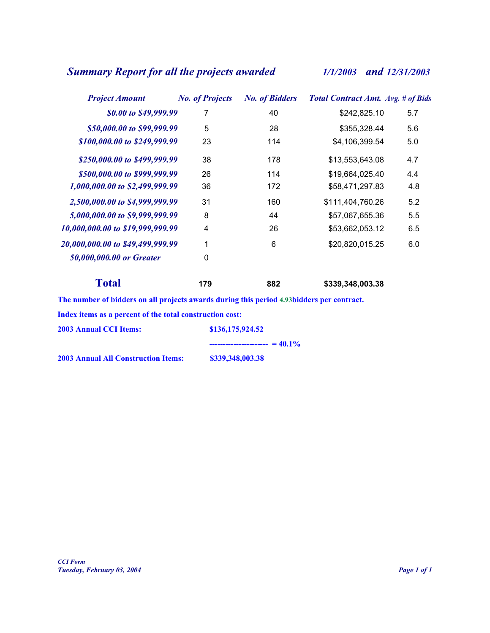## *Summary Report for all the projects awarded 1/1/2003 and 12/31/2003*

| <b>Project Amount</b>            | <b>No. of Projects</b> | <b>No. of Bidders</b> | <b>Total Contract Amt. Avg. # of Bids</b> |     |
|----------------------------------|------------------------|-----------------------|-------------------------------------------|-----|
| \$0.00 to \$49,999.99            | 7                      | 40                    | \$242,825.10                              | 5.7 |
| \$50,000.00 to \$99,999.99       | 5                      | 28                    | \$355,328.44                              | 5.6 |
| \$100,000.00 to \$249,999.99     | 23                     | 114                   | \$4,106,399.54                            | 5.0 |
| \$250,000.00 to \$499,999.99     | 38                     | 178                   | \$13,553,643.08                           | 4.7 |
| \$500,000.00 to \$999,999.99     | 26                     | 114                   | \$19,664,025.40                           | 4.4 |
| 1,000,000.00 to \$2,499,999.99   | 36                     | 172                   | \$58,471,297.83                           | 4.8 |
| 2,500,000.00 to \$4,999,999.99   | 31                     | 160                   | \$111,404,760.26                          | 5.2 |
| 5,000,000.00 to \$9,999,999.99   | 8                      | 44                    | \$57,067,655.36                           | 5.5 |
| 10,000,000.00 to \$19,999,999.99 | 4                      | 26                    | \$53,662,053.12                           | 6.5 |
| 20,000,000.00 to \$49,499,999.99 | 1                      | 6                     | \$20,820,015.25                           | 6.0 |
| 50,000,000.00 or Greater         | 0                      |                       |                                           |     |
| <b>Total</b>                     | 179                    | 882                   | \$339,348,003.38                          |     |

**The number of bidders on all projects awards during this period 4.93bidders per contract.** 

**Index items as a percent of the total construction cost:** 

| <b>2003 Annual CCI Items:</b>              | \$136,175,924.52                                                                                                                                                                                                                                                                                          |
|--------------------------------------------|-----------------------------------------------------------------------------------------------------------------------------------------------------------------------------------------------------------------------------------------------------------------------------------------------------------|
|                                            | $\frac{1}{2}$ = $\frac{1}{2}$ = $\frac{1}{2}$ = $\frac{1}{2}$ = $\frac{1}{2}$ = $\frac{1}{2}$ = $\frac{1}{2}$ = $\frac{1}{2}$ = $\frac{1}{2}$ = $\frac{1}{2}$ = $\frac{1}{2}$ = $\frac{1}{2}$ = $\frac{1}{2}$ = $\frac{1}{2}$ = $\frac{1}{2}$ = $\frac{1}{2}$ = $\frac{1}{2}$ = $\frac{1}{2}$ = $\frac{1$ |
| <b>2003 Annual All Construction Items:</b> | \$339,348,003.38                                                                                                                                                                                                                                                                                          |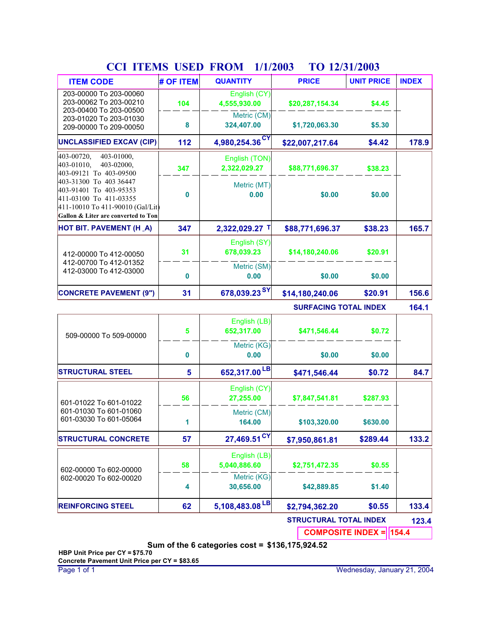| <b>ITEM CODE</b>                                                                                               | # OF ITEM | <b>QUANTITY</b>               | <b>PRICE</b>                 | <b>UNIT PRICE</b> | <b>INDEX</b> |
|----------------------------------------------------------------------------------------------------------------|-----------|-------------------------------|------------------------------|-------------------|--------------|
| 203-00000 To 203-00060<br>203-00062 To 203-00210<br>203-00400 To 203-00500                                     | 104       | English (CY)<br>4,555,930.00  | \$20,287,154.34              | \$4.45            |              |
| 203-01020 To 203-01030<br>209-00000 To 209-00050                                                               | 8         | Metric (CM)<br>324,407.00     | \$1,720,063.30               | \$5.30            |              |
| <b>UNCLASSIFIED EXCAV (CIP)</b>                                                                                | 112       | <b>CY</b><br>4,980,254.36     | \$22,007,217.64              | \$4.42            | 178.9        |
| 403-00720,<br>403-01000,<br>403-01010,<br>403-02000,<br>403-09121 To 403-09500                                 | 347       | English (TON)<br>2,322,029.27 | \$88,771,696.37              | \$38.23           |              |
| 403-31300 To 403 36447<br>403-91401 To 403-95353<br>411-03100 To 411-03355<br>411-10010 To 411-90010 (Gal/Lit) | $\bf{0}$  | Metric (MT)<br>0.00           | \$0.00                       | \$0.00            |              |
| Gallon & Liter are converted to Ton                                                                            |           |                               |                              |                   |              |
| <b>HOT BIT. PAVEMENT (H_A)</b>                                                                                 | 347       | 2,322,029.27 T                | \$88,771,696.37              | \$38.23           | 165.7        |
| 412-00000 To 412-00050                                                                                         | 31        | English (SY)<br>678,039.23    | \$14,180,240.06              | \$20.91           |              |
| 412-00700 To 412-01352<br>412-03000 To 412-03000                                                               | $\bf{0}$  | Metric (SM)<br>0.00           | \$0.00                       | \$0.00            |              |
| <b>CONCRETE PAVEMENT (9")</b>                                                                                  | 31        | 678,039.23SY                  | \$14,180,240.06              | \$20.91           | 156.6        |
|                                                                                                                |           |                               | <b>SURFACING TOTAL INDEX</b> |                   | 164.1        |
| 509-00000 To 509-00000                                                                                         | 5         | English (LB)<br>652,317.00    | \$471,546.44                 | \$0.72            |              |
|                                                                                                                | $\bf{0}$  | Metric (KG)<br>0.00           | \$0.00                       | \$0.00            |              |
| <b>STRUCTURAL STEEL</b>                                                                                        | 5         | 652.317.00 LB                 | \$471.546.44                 | \$0.72            | 84.7         |

### **CCI ITEMS USED FROM TO 1/1/2003 12/31/2003**

**\$0.72 84.7 STRUCTURAL STEEL 5 652,317.00 \$471,546.44 LB** 601-01022 To 601-01022 601-01030 To 601-01060 601-03030 To 601-05064 **27,255.00 \$7,847,541.81 \$289.44 164.00 \$103,320.00 133.2** English (CY) Metric (CM) **56 1 STRUCTURAL CONCRETE 57 27,469.51 \$7,950,861.81 CY \$287.93 \$630.00** 602-00000 To 602-00000 602-00020 To 602-00020 **5,040,886.60 \$2,751,472.35 \$0.55 30,656.00 \$42,889.85 133.4** English (LB) Metric (KG) **58 4 REINFORCING STEEL 62 5,108,483.08 \$2,794,362.20 LB \$0.55 \$1.40 STRUCTURAL TOTAL INDEX 123.4 COMPOSITE INDEX = 154.4**

**Sum of the 6 categories cost = \$136,175,924.52**

**HBP Unit Price per CY = \$75.70 Concrete Pavement Unit Price per CY = \$83.65**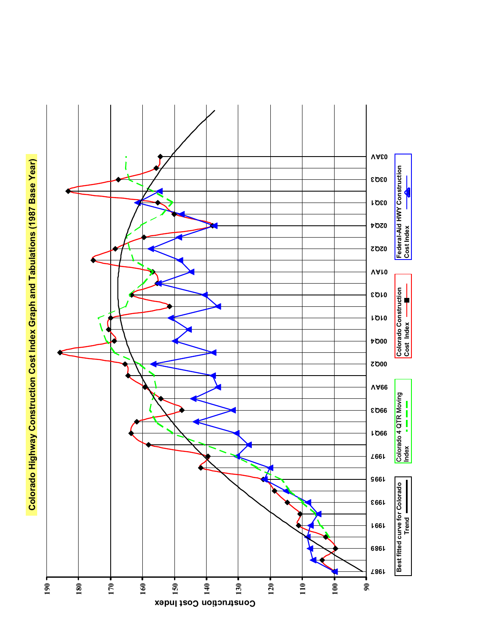Colorado Highway Construction Cost Index Graph and Tabulations (1987 Base Year) **Colorado Highway Construction Cost Index Graph and Tabulations (1987 Base Year)**

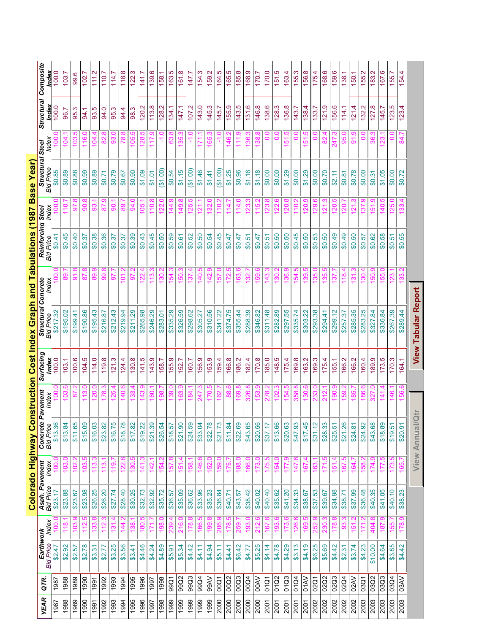|             |             |                               |                 |                                          |                 | Colorado Highway Co          |                   |               | nstruction Cost Index Graph and Tabulations (1987 Base Year) |                         |                                       |                |                         |                       |                     |                         |
|-------------|-------------|-------------------------------|-----------------|------------------------------------------|-----------------|------------------------------|-------------------|---------------|--------------------------------------------------------------|-------------------------|---------------------------------------|----------------|-------------------------|-----------------------|---------------------|-------------------------|
| <b>YEAR</b> | QTR.        | Earthwork<br><b>Bid Price</b> | Index           | <b>Asph. Pavement</b><br>Bid Price Index |                 | Concrete<br><b>Bid Price</b> | Pavement<br>Index | Surfacing     | <b>Structural Concrete</b><br>Bid Price Index                |                         | Reinforcing Steel<br><b>Bid Price</b> | Index          | Structural<br>Bid Price | hdex<br><b>Steel</b>  | Structural<br>Index | Composite               |
| 1987        | 1987        | \$2.47                        |                 | \$23.17                                  |                 | \$13.36                      |                   | ndex<br>100.0 | \$217.32                                                     |                         | \$0.41                                |                | \$0.85                  |                       | 100.0               | 100.                    |
| 1988        | 1988        | \$2.92                        | $\frac{8}{11}$  | \$23.88                                  | 103             | \$13.84                      |                   | 103.1         | \$195.02                                                     | စ္ထ                     | \$0.45                                | <u>ّب</u>      | \$0.89                  | <b>R</b>              | 96.                 | 103                     |
| 1989        | 1989        | \$2.57                        | 103             | \$23.67                                  | 102             | \$11.65                      | ္စ                | 100.6         | \$199.41                                                     | 91.8                    | \$0.40                                | 50             | \$0.88                  | <u>လ</u><br>g         | ო<br>95.            | 99.6                    |
| 1990        | 1990        | \$2.78                        | 112.            | \$23.98                                  | 103             | \$15.09                      | $\frac{13}{2}$    | 104.5         | \$190.86                                                     | 87.8                    | \$0.37                                | 90.8           | \$0.99                  | 116.0                 | 94.1                | 102                     |
| 1991        | 1991        | \$3.31                        | 133.            | \$26.25                                  | $\frac{13}{2}$  | \$16.03                      | 120.1             | 114.0         | \$195.43                                                     | 89.9                    | \$0.38                                | 93.1           | \$0.89                  | 104.4                 | 93.5                | 111.2                   |
| 1992        | 1992        | \$2.77                        | 112             | \$26.20                                  | 113             | \$23.82                      | 178               | 119.8         | \$216.87                                                     | 99.8                    | \$0.36                                | $\overline{8}$ | \$0.71                  | 82.8                  | 94.0                | 110.7                   |
| 1993        | 1993        | \$3.25                        | $\frac{131}{2}$ | \$27.74                                  | 119             | \$16.75                      | 125               | 121.3         | \$212.43                                                     | 5                       | \$0.37                                | 90             | \$0.79                  | <b>93.0</b>           | 95.3                | 114.7                   |
| 1994        | 1994        | \$3.56                        | 144             | \$28.40                                  | 122             | \$18.78                      | $\frac{40}{5}$    | 124.4         | \$219.94                                                     | δ                       | \$0.37                                | 89             | \$0.67                  | $\infty$<br><u>وع</u> | 94.4                | œ<br>118.               |
| 1995        | 1995        | \$3.41                        | <u>ಇ</u><br>೧೩  | \$30.25                                  | $\frac{8}{30}$  | \$17.82                      | ౢ                 | 130.8         | \$211.29                                                     | 5                       | \$0.39                                | 94.0           | \$0.90                  | ю<br>မြ               | 98.3                | ო<br>122.               |
| 1996        | 1996        | \$4.46                        | 180.5           | \$32.73                                  | $\frac{4}{1}$   | \$19.22                      | 143.              | 141.5         | \$265.98                                                     | 22.                     | \$0.43                                | 105.           | \$1.09                  | rö.<br>28.            | 120.2               | 141.7                   |
| 1997        | 1997        | \$4.24                        | 171.            | \$32.92                                  | 142             | \$21.39                      | $\overline{160}$  | 143.9         | \$246.29                                                     | 113.3                   | \$0.45                                | 110.8          | \$1.01                  | 117.9                 | 113.8               | 139.6                   |
| 1998        | 1998        | \$4.89                        | 198.0           | \$35.72                                  | 154.            | \$26.54                      | 198.              | 158.7         | \$283.01                                                     | 130.2                   | \$0.50                                | 122.0          | (61.00)                 | $-1.0$                | 128.2               | 158.1                   |
| 1999        | 99Q1        | \$5.91                        | 239.            | \$36.57                                  | 157             | \$18.57                      | 139.              | 155.9         | \$335.29                                                     | 154                     | \$0.59                                | بە<br>144.     | \$0.54                  | œ<br>යි               | 134.1               | 163.5                   |
| 1999        | 99Q2        | \$5.34                        | 216.            | \$35.09                                  | $\frac{15}{15}$ | \$21.90                      | 163               | 152.7         | \$326.59                                                     | $\overline{50}$         | \$0.61                                | 149.           | \$1.15                  | 35                    | 147.1               | 161.8                   |
| 1999        | 99Q3        | \$4.42                        | 178.8           | \$36.62                                  | 158             | \$24.59                      | 184.              | 160.7         | \$298.62                                                     | 57                      | \$0.52                                | ю<br>125.      | (61.00)                 | Q                     | 107.2               | 147.7                   |
| 1999        | 99Q4        | \$4.11                        | 166.5           | \$33.96                                  | 146.            | \$33.04                      | 247               | 156.9         | \$305.27                                                     | 140.5                   | \$0.50                                | 121.1          | \$1.46                  | 171.1                 | 143.0               | 154.                    |
| 1999        | <b>OARG</b> | \$4.94                        | 199.8           | \$35.23                                  | 152.            | \$22.78                      | 170.5             | 153.9         | \$310.56                                                     | 142.9                   | \$0.54                                | 132.0          | \$1.41                  | 165.3                 | 145.3               | 159.2                   |
| 2000        | 00Q1        | \$5.11                        | 206.9           | \$36.84                                  | 159.            | \$21.73                      | 162.              | 159.4         | \$341.22                                                     | 157.0                   | \$0.45                                | 110.2          | (61.00)                 | $-1.0$                | 145.7               | 164.5                   |
| 2000        | 00Q2        | \$4.41                        | 178.5           | \$40.71                                  | 175.            | \$11.84                      | 88                | 166.8         | \$374.75                                                     | LO<br>172.              | \$0.47                                | 114            | \$1.25                  | 146.                  | 155.9               | 165.5                   |
| 2000        | 00Q3        | \$6.42                        | 259.            | \$43.57                                  | 188             | \$22.69                      | 169               | 186.2         | \$355.44                                                     | ဖ<br>163                | \$0.47                                | $\frac{14}{1}$ | \$0.96                  | ၜ                     | 143.5               | $\infty$<br>185.        |
| 2000        | 00Q4        | \$4.77                        | 193.0           | \$38.42                                  | 166.            | \$43.65                      | 326.              | 182.4         | \$288.39                                                     | $\overline{32}$ .       | \$0.51                                | ಔ              | \$1.16                  | 36.3                  | 131.6               | თ<br>168.               |
| 2000        | <b>OOAV</b> | \$5.25                        | 212.6           | \$40.02                                  | 173.            | \$20.56                      | 153.9             | 170.8         | \$346.82                                                     | 59.6                    | \$0.47                                | 115.2          | \$1.18                  | 38.8                  | 146.8               | 170.7                   |
| 2001        | 01Q1        | \$4.14                        | 167.6           | \$40.40                                  | 175.            | \$37.17                      | 278.2             | 185.0         | \$311.48                                                     | 143.3                   | \$0.51                                | 123.8          | \$0.00                  | $\frac{0}{0}$         | 138.6               | 170.0                   |
| 2001        | 0102        | \$4.78                        | 193.6           | \$35.62                                  | 154.            | \$13.66                      | 102.3             | 148.5         | \$282.89                                                     | 130.2                   | \$0.50                                | 122.6          | \$0.00                  | 0.0                   | 128.3               | 151.5                   |
| 2001        | 01Q3        | \$4.29                        | 173.            | \$41.20                                  | 177             | \$20.63                      | 154               | 175.4         | \$297.55                                                     | 136.9                   | \$0.50                                | 120.8          | \$1.29                  | rö.<br>57             | 136.8               | 163.4                   |
| 2001        | 01Q4        | \$3.13                        | <b>26</b>       | \$34.33                                  | $\overline{4}$  | \$47.93                      |                   | 169.8         | \$335.74                                                     | 54                      | \$0.45                                | $\frac{0}{1}$  | \$0.00                  | c                     | 143.7               | က<br>155.               |
| 2001        | <b>O1AV</b> | \$4.19                        | 169             | \$38.67                                  | $\frac{1}{6}$   | \$17.45                      | $\frac{8}{30}$    | 163.2         | \$303.22                                                     | Ю<br>89                 | \$0.50                                | <b>20</b>      | \$1.29                  | ယ္<br>5               | 138.4               | $\infty$<br>156.        |
| 2002        | 02Q1        | \$6.25                        | 252             | \$37.53                                  | 163             | \$31.12                      |                   | 169.3         | \$293.38                                                     | 35.0                    | \$0.53                                | 29.6           | \$0.00                  | $\frac{0}{0}$         | 133.7               | 175.4                   |
| 2002        | 02Q2        | \$5.69                        | 230.            | \$39.67                                  | 171             | \$28.33                      | 212               | 175.4         | \$294.41                                                     | 35.5                    | \$0.50                                | ಸ              | \$0.70                  | 8                     | 121.9               | 168.6                   |
| 2002        | 02Q3        | \$4.42                        | 178.            | \$34.98                                  | $\frac{15}{1}$  | \$25.51                      | 190.              | 155.1         | \$299.12                                                     | ᢛ                       | \$0.49                                | 120.5          | \$2.11                  | 247                   | 156.6               | 159.6                   |
| 2002        | 02Q4        | \$2.31                        | 93              | \$38.71                                  | 167             | \$21.26                      | <b>S</b>          | 166.2         | \$257.37                                                     | $\frac{\infty}{\infty}$ | \$0.49                                |                | \$0.81                  | 95                    | 114.1               | 138.1                   |
| 2002        | 02AV        | \$3.74                        | 5               | \$37.99                                  | 164             | \$24.81                      | 85                | 166.2         | \$285.35                                                     |                         | \$0.50                                |                | \$0.78                  | <u>ာ</u><br>ଚ୍ଚ       | 121.4               | 150.                    |
| 2003        | 03Q1        | \$4.23                        | 171             | \$36.48                                  | $\frac{8}{3}$   | \$24.92                      | 86                | 160.4         | \$283.25                                                     | 80                      | \$0.57                                | ္က             | \$0.00                  | Q<br>O                | 132.2               | $\mathbf{\sim}$<br>155. |
| 2003        | 03Q2        | \$10.00                       | 404.8           | \$40.35                                  | 174.            | \$43.68                      | 327               | 189.9         | \$327.84                                                     | 50.9                    | \$0.62                                | 151.9          | \$0.31                  | 36.3                  | 127.8               | 183.2                   |
| 2003        | 03Q3        | \$4.64                        | 187.9           | \$41.05                                  | 177             | \$18.89                      | <u>41.</u>        | 173.5         | \$336.84                                                     | 155.0                   | \$0.58                                | 140.5          | \$1.05                  | ಣ                     | 145.7               | 167.6                   |
| 2003        | 03Q4        | \$3.85                        | <b>155</b>      | \$40.10                                  | 173.            | \$19.51                      | 146.              | 170.3         | \$267.39                                                     | 123.                    | \$0.51                                | 125.0          | \$0.00                  | 0.0                   | 123.5               | 155.7                   |
| 2003        | <b>O3AV</b> | \$4.42                        | 178.9           | \$38.23                                  | 165.            | \$20.91                      | 156.1             | 164.1         | \$289.44                                                     |                         | \$0.55                                | 33.4           | \$0.72                  | 84.7                  | 123.4               | 154.4                   |
|             |             |                               |                 |                                          |                 | <b>View Annual/Qtn</b>       |                   |               | <b>View Tabular Report</b>                                   |                         |                                       |                |                         |                       |                     |                         |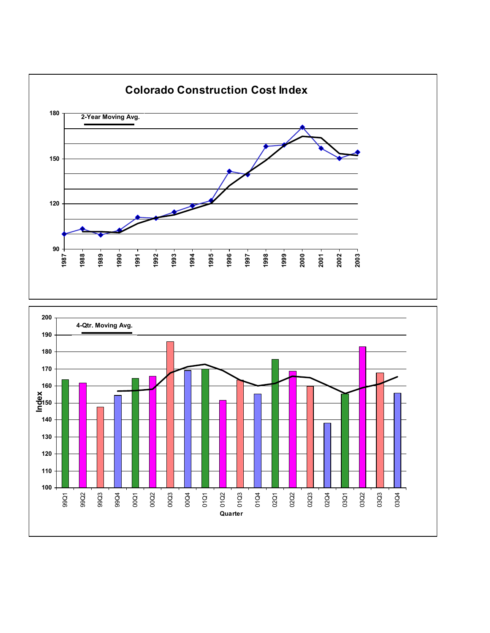